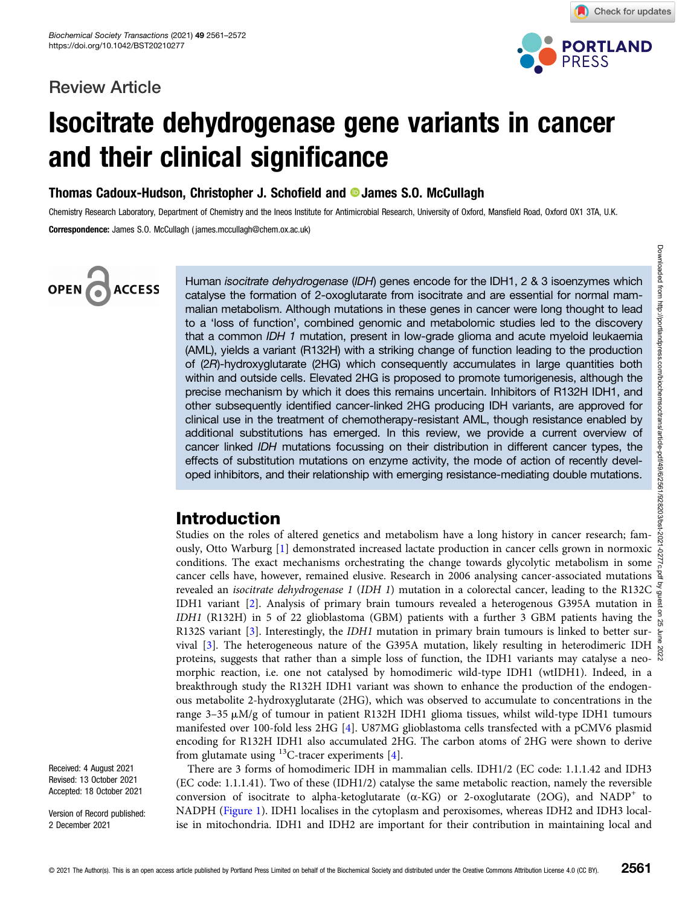### Review Article



Check for updates

# Isocitrate dehydrogenase gene variants in cancer and their clinical significance

Thomas Cadoux-Hudson, Christopher J. Schofield and **D** James S.O. McCullagh

Chemistry Research Laboratory, Department of Chemistry and the Ineos Institute for Antimicrobial Research, University of Oxford, Mansfield Road, Oxford OX1 3TA, U.K. Correspondence: James S.O. McCullagh ( james.mccullagh@chem.ox.ac.uk)

## OPEN<sub>6</sub> **ACCESS**

Human isocitrate dehydrogenase (IDH) genes encode for the IDH1, 2 & 3 isoenzymes which catalyse the formation of 2-oxoglutarate from isocitrate and are essential for normal mammalian metabolism. Although mutations in these genes in cancer were long thought to lead to a 'loss of function', combined genomic and metabolomic studies led to the discovery that a common IDH 1 mutation, present in low-grade glioma and acute myeloid leukaemia (AML), yields a variant (R132H) with a striking change of function leading to the production of (2R)-hydroxyglutarate (2HG) which consequently accumulates in large quantities both within and outside cells. Elevated 2HG is proposed to promote tumorigenesis, although the precise mechanism by which it does this remains uncertain. Inhibitors of R132H IDH1, and other subsequently identified cancer-linked 2HG producing IDH variants, are approved for clinical use in the treatment of chemotherapy-resistant AML, though resistance enabled by additional substitutions has emerged. In this review, we provide a current overview of cancer linked IDH mutations focussing on their distribution in different cancer types, the effects of substitution mutations on enzyme activity, the mode of action of recently developed inhibitors, and their relationship with emerging resistance-mediating double mutations.

### Introduction

Studies on the roles of altered genetics and metabolism have a long history in cancer research; famously, Otto Warburg [\[1\]](#page-7-0) demonstrated increased lactate production in cancer cells grown in normoxic conditions. The exact mechanisms orchestrating the change towards glycolytic metabolism in some  $\frac{3}{6}$ cancer cells have, however, remained elusive. Research in 2006 analysing cancer-associated mutations revealed an isocitrate dehydrogenase 1 (IDH 1) mutation in a colorectal cancer, leading to the R132C IDH1 variant [[2\]](#page-7-0). Analysis of primary brain tumours revealed a heterogenous G395A mutation in a LIDH1 variant [2]. IDH1 (R132H) in 5 of 22 glioblastoma (GBM) patients with a further 3 GBM patients having the  $\frac{9}{12}$ R132S variant [[3\]](#page-7-0). Interestingly, the *IDH1* mutation in primary brain tumours is linked to better survival [[3](#page-7-0)]. The heterogeneous nature of the G395A mutation, likely resulting in heterodimeric IDH proteins, suggests that rather than a simple loss of function, the IDH1 variants may catalyse a neomorphic reaction, i.e. one not catalysed by homodimeric wild-type IDH1 (wtIDH1). Indeed, in a breakthrough study the R132H IDH1 variant was shown to enhance the production of the endogenous metabolite 2-hydroxyglutarate (2HG), which was observed to accumulate to concentrations in the range  $3-35 \mu M/g$  of tumour in patient R132H IDH1 glioma tissues, whilst wild-type IDH1 tumours manifested over 100-fold less 2HG [\[4](#page-7-0)]. U87MG glioblastoma cells transfected with a pCMV6 plasmid encoding for R132H IDH1 also accumulated 2HG. The carbon atoms of 2HG were shown to derive from glutamate using  $^{13}$ C-tracer experiments [\[4\]](#page-7-0). Downloaded from http://portlandpress.com/biochemsoctrans/article-pdf/49/6/2561/928203/bst-2021-0277c.pdf by guest on 25 June 2022

There are 3 forms of homodimeric IDH in mammalian cells. IDH1/2 (EC code: 1.1.1.42 and IDH3 (EC code: 1.1.1.41). Two of these (IDH1/2) catalyse the same metabolic reaction, namely the reversible conversion of isocitrate to alpha-ketoglutarate ( $\alpha$ -KG) or 2-oxoglutarate (2OG), and NADP<sup>+</sup> to NADPH [\(Figure 1](#page-1-0)). IDH1 localises in the cytoplasm and peroxisomes, whereas IDH2 and IDH3 localise in mitochondria. IDH1 and IDH2 are important for their contribution in maintaining local and

Received: 4 August 2021 Revised: 13 October 2021 Accepted: 18 October 2021

Version of Record published: 2 December 2021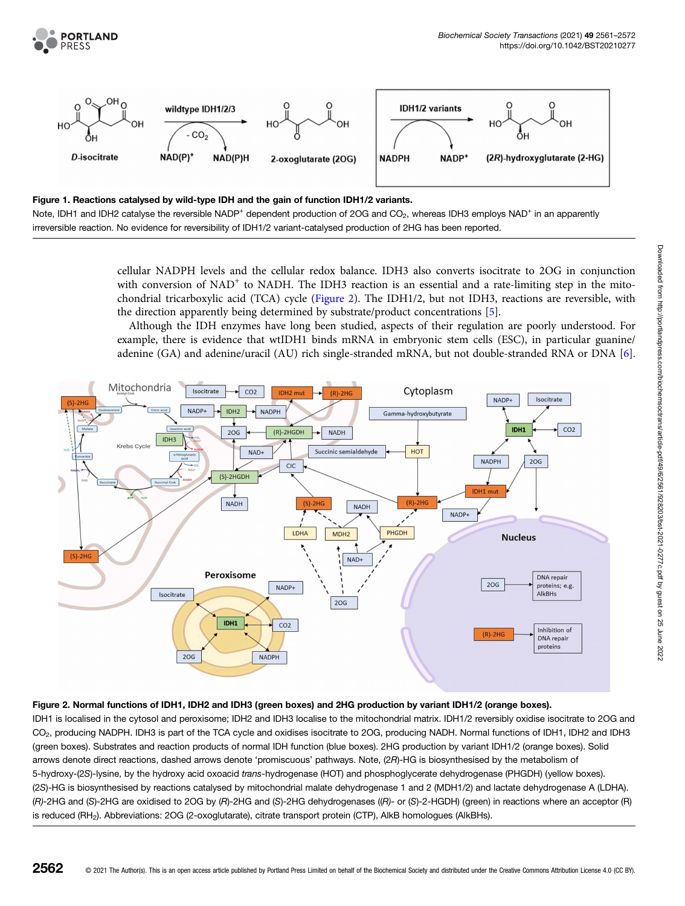<span id="page-1-0"></span>



#### Figure 1. Reactions catalysed by wild-type IDH and the gain of function IDH1/2 variants.

Note, IDH1 and IDH2 catalyse the reversible NADP<sup>+</sup> dependent production of 2OG and CO<sub>2</sub>, whereas IDH3 employs NAD<sup>+</sup> in an apparently irreversible reaction. No evidence for reversibility of IDH1/2 variant-catalysed production of 2HG has been reported.

> cellular NADPH levels and the cellular redox balance. IDH3 also converts isocitrate to 2OG in conjunction with conversion of  $NAD^+$  to NADH. The IDH3 reaction is an essential and a rate-limiting step in the mitochondrial tricarboxylic acid (TCA) cycle (Figure 2). The IDH1/2, but not IDH3, reactions are reversible, with the direction apparently being determined by substrate/product concentrations [\[5](#page-7-0)].

> Although the IDH enzymes have long been studied, aspects of their regulation are poorly understood. For example, there is evidence that wtIDH1 binds mRNA in embryonic stem cells (ESC), in particular guanine/ adenine (GA) and adenine/uracil (AU) rich single-stranded mRNA, but not double-stranded RNA or DNA [\[6](#page-7-0)].



#### Figure 2. Normal functions of IDH1, IDH2 and IDH3 (green boxes) and 2HG production by variant IDH1/2 (orange boxes).

IDH1 is localised in the cytosol and peroxisome; IDH2 and IDH3 localise to the mitochondrial matrix. IDH1/2 reversibly oxidise isocitrate to 2OG and CO<sub>2</sub>, producing NADPH. IDH3 is part of the TCA cycle and oxidises isocitrate to 2OG, producing NADH. Normal functions of IDH1, IDH2 and IDH3 (green boxes). Substrates and reaction products of normal IDH function (blue boxes). 2HG production by variant IDH1/2 (orange boxes). Solid arrows denote direct reactions, dashed arrows denote 'promiscuous' pathways. Note, (2R)-HG is biosynthesised by the metabolism of 5-hydroxy-(2S)-lysine, by the hydroxy acid oxoacid trans-hydrogenase (HOT) and phosphoglycerate dehydrogenase (PHGDH) (yellow boxes). (2S)-HG is biosynthesised by reactions catalysed by mitochondrial malate dehydrogenase 1 and 2 (MDH1/2) and lactate dehydrogenase A (LDHA). (R)-2HG and (S)-2HG are oxidised to 2OG by (R)-2HG and (S)-2HG dehydrogenases ((R)- or (S)-2-HGDH) (green) in reactions where an acceptor (R) is reduced (RH<sub>2</sub>). Abbreviations: 2OG (2-oxoglutarate), citrate transport protein (CTP), AlkB homologues (AlkBHs).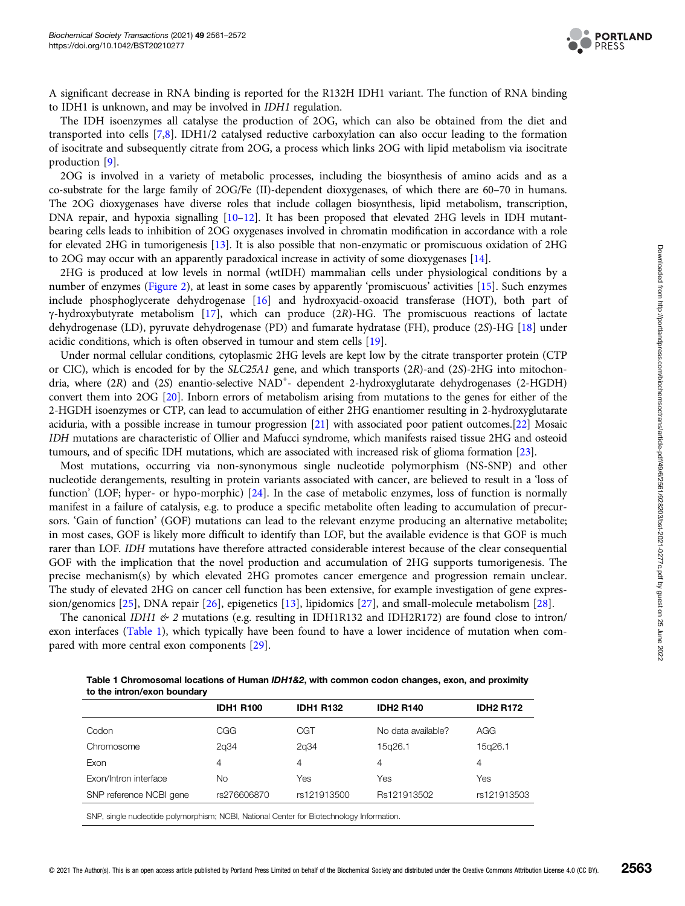

A significant decrease in RNA binding is reported for the R132H IDH1 variant. The function of RNA binding to IDH1 is unknown, and may be involved in IDH1 regulation.

The IDH isoenzymes all catalyse the production of 2OG, which can also be obtained from the diet and transported into cells [\[7,8](#page-7-0)]. IDH1/2 catalysed reductive carboxylation can also occur leading to the formation of isocitrate and subsequently citrate from 2OG, a process which links 2OG with lipid metabolism via isocitrate production [\[9](#page-7-0)].

2OG is involved in a variety of metabolic processes, including the biosynthesis of amino acids and as a co-substrate for the large family of 2OG/Fe (II)-dependent dioxygenases, of which there are 60–70 in humans. The 2OG dioxygenases have diverse roles that include collagen biosynthesis, lipid metabolism, transcription, DNA repair, and hypoxia signalling [\[10](#page-7-0)–[12](#page-7-0)]. It has been proposed that elevated 2HG levels in IDH mutantbearing cells leads to inhibition of 2OG oxygenases involved in chromatin modification in accordance with a role for elevated 2HG in tumorigenesis [[13](#page-7-0)]. It is also possible that non-enzymatic or promiscuous oxidation of 2HG to 2OG may occur with an apparently paradoxical increase in activity of some dioxygenases [\[14](#page-7-0)].

2HG is produced at low levels in normal (wtIDH) mammalian cells under physiological conditions by a number of enzymes ([Figure 2](#page-1-0)), at least in some cases by apparently 'promiscuous' activities [\[15\]](#page-7-0). Such enzymes include phosphoglycerate dehydrogenase [[16](#page-7-0)] and hydroxyacid-oxoacid transferase (HOT), both part of γ-hydroxybutyrate metabolism [\[17](#page-7-0)], which can produce (2R)-HG. The promiscuous reactions of lactate dehydrogenase (LD), pyruvate dehydrogenase (PD) and fumarate hydratase (FH), produce (2S)-HG [\[18\]](#page-7-0) under acidic conditions, which is often observed in tumour and stem cells [\[19\]](#page-7-0).

Under normal cellular conditions, cytoplasmic 2HG levels are kept low by the citrate transporter protein (CTP or CIC), which is encoded for by the SLC25A1 gene, and which transports (2R)-and (2S)-2HG into mitochondria, where (2R) and (2S) enantio-selective NAD<sup>+</sup>- dependent 2-hydroxyglutarate dehydrogenases (2-HGDH) convert them into 2OG [[20\]](#page-7-0). Inborn errors of metabolism arising from mutations to the genes for either of the 2-HGDH isoenzymes or CTP, can lead to accumulation of either 2HG enantiomer resulting in 2-hydroxyglutarate aciduria, with a possible increase in tumour progression [[21](#page-7-0)] with associated poor patient outcomes.[[22](#page-8-0)] Mosaic IDH mutations are characteristic of Ollier and Mafucci syndrome, which manifests raised tissue 2HG and osteoid tumours, and of specific IDH mutations, which are associated with increased risk of glioma formation [\[23](#page-8-0)].

Most mutations, occurring via non-synonymous single nucleotide polymorphism (NS-SNP) and other nucleotide derangements, resulting in protein variants associated with cancer, are believed to result in a 'loss of function' (LOF; hyper- or hypo-morphic) [\[24\]](#page-8-0). In the case of metabolic enzymes, loss of function is normally manifest in a failure of catalysis, e.g. to produce a specific metabolite often leading to accumulation of precursors. 'Gain of function' (GOF) mutations can lead to the relevant enzyme producing an alternative metabolite; in most cases, GOF is likely more difficult to identify than LOF, but the available evidence is that GOF is much rarer than LOF. IDH mutations have therefore attracted considerable interest because of the clear consequential GOF with the implication that the novel production and accumulation of 2HG supports tumorigenesis. The precise mechanism(s) by which elevated 2HG promotes cancer emergence and progression remain unclear. The study of elevated 2HG on cancer cell function has been extensive, for example investigation of gene expression/genomics [[25](#page-8-0)], DNA repair [\[26\]](#page-8-0), epigenetics [[13](#page-7-0)], lipidomics [\[27\]](#page-8-0), and small-molecule metabolism [\[28\]](#page-8-0).

The canonical IDH1  $\&$  2 mutations (e.g. resulting in IDH1R132 and IDH2R172) are found close to intron/ exon interfaces (Table 1), which typically have been found to have a lower incidence of mutation when compared with more central exon components [\[29\]](#page-8-0).

| Table 1 Chromosomal locations of Human IDH1&2, with common codon changes, exon, and proximity |  |
|-----------------------------------------------------------------------------------------------|--|
| to the intron/exon boundary                                                                   |  |

|                                                                                           | <b>IDH1 R100</b> | <b>IDH1 R132</b> | <b>IDH2 R140</b>   | <b>IDH2 R172</b> |  |
|-------------------------------------------------------------------------------------------|------------------|------------------|--------------------|------------------|--|
| Codon                                                                                     | <b>CGG</b>       | CGT              | No data available? | AGG              |  |
| Chromosome                                                                                | 2q34             | 2q34             | 15q26.1            | 15g26.1          |  |
| Exon                                                                                      | 4                | 4                | 4                  | 4                |  |
| Exon/Intron interface                                                                     | No.              | Yes              | Yes                | Yes              |  |
| SNP reference NCBI gene                                                                   | rs276606870      | rs121913500      | Rs121913502        | rs121913503      |  |
| SNP, single nucleotide polymorphism; NCBI, National Center for Biotechnology Information. |                  |                  |                    |                  |  |

© 2021 The Author(s). This is an open access article published by Portland Press Limited on behalf of the Biochemical Society and distributed under the [Creative Commons Attribution License 4.0 \(CC BY\).](https://creativecommons.org/licenses/by/4.0/) 2563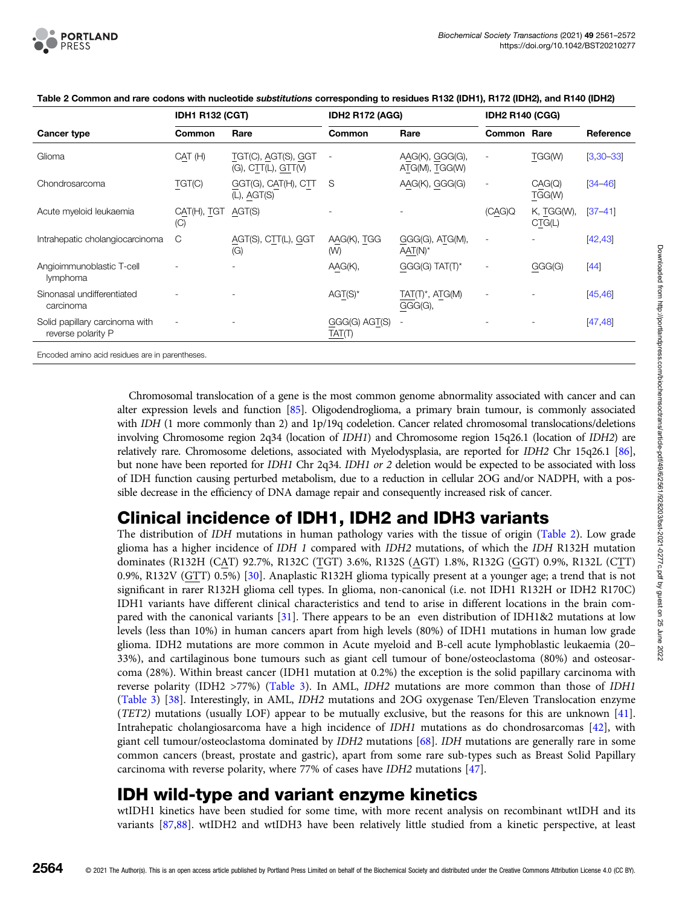

|                                                      | <b>IDH1 R132 (CGT)</b> |                                            | <b>IDH2 R172 (AGG)</b>   |                                   | <b>IDH2 R140 (CGG)</b>   |                      |             |
|------------------------------------------------------|------------------------|--------------------------------------------|--------------------------|-----------------------------------|--------------------------|----------------------|-------------|
| Cancer type                                          | Common                 | Rare                                       | Common                   | Rare                              | <b>Common Rare</b>       |                      | Reference   |
| Glioma                                               | CAT(H)                 | TGT(C), AGT(S), GGT<br>(G), CIT(L), GIT(V) | $\overline{\phantom{a}}$ | AAG(K), GGG(G),<br>ATG(M), TGG(W) | $\overline{\phantom{a}}$ | TGG(W)               | $[3,30-33]$ |
| Chondrosarcoma                                       | TGT(C)                 | GGT(G), CAT(H), CTT<br>$(L)$ , AGT $(S)$   | S                        | AAG(K), GGG(G)                    | $\overline{\phantom{a}}$ | CAG(Q)<br>TGG(W)     | $[34 - 46]$ |
| Acute myeloid leukaemia                              | CAT(H), TGT<br>(C)     | AGT(S)                                     |                          |                                   | (CAG)Q                   | K, TGG(W),<br>CTG(L) | $[37 - 41]$ |
| Intrahepatic cholangiocarcinoma                      | С                      | AGT(S), CTT(L), GGT<br>(G)                 | AAG(K), TGG<br>(W)       | GGG(G), ATG(M),<br>$AAT(N)^*$     | $\overline{\phantom{a}}$ |                      | [42, 43]    |
| Angioimmunoblastic T-cell<br>lymphoma                |                        |                                            | AAG(K),                  | $GGG(G) TAT(T)^*$                 | $\overline{\phantom{0}}$ | GGG(G)               | $[44]$      |
| Sinonasal undifferentiated<br>carcinoma              |                        |                                            | $AGT(S)^*$               | $TAT(T)^*$ , $ATG(M)$<br>GGG(G),  |                          |                      | [45, 46]    |
| Solid papillary carcinoma with<br>reverse polarity P |                        |                                            | GGG(G) AGT(S)<br>TAT(T)  |                                   |                          |                      | [47, 48]    |
| Encoded amino acid residues are in parentheses.      |                        |                                            |                          |                                   |                          |                      |             |

Table 2 Common and rare codons with nucleotide substitutions corresponding to residues R132 (IDH1), R172 (IDH2), and R140 (IDH2)

Chromosomal translocation of a gene is the most common genome abnormality associated with cancer and can alter expression levels and function [\[85\]](#page-10-0). Oligodendroglioma, a primary brain tumour, is commonly associated with IDH (1 more commonly than 2) and 1p/19q codeletion. Cancer related chromosomal translocations/deletions involving Chromosome region 2q34 (location of IDH1) and Chromosome region 15q26.1 (location of IDH2) are relatively rare. Chromosome deletions, associated with Myelodysplasia, are reported for IDH2 Chr 15q26.1 [\[86](#page-10-0)], but none have been reported for IDH1 Chr 2q34. IDH1 or 2 deletion would be expected to be associated with loss of IDH function causing perturbed metabolism, due to a reduction in cellular 2OG and/or NADPH, with a possible decrease in the efficiency of DNA damage repair and consequently increased risk of cancer.

### Clinical incidence of IDH1, IDH2 and IDH3 variants

The distribution of IDH mutations in human pathology varies with the tissue of origin (Table 2). Low grade glioma has a higher incidence of IDH 1 compared with IDH2 mutations, of which the IDH R132H mutation dominates (R132H (CAT) 92.7%, R132C (TGT) 3.6%, R132S (AGT) 1.8%, R132G (GGT) 0.9%, R132L (CTT) 0.9%, R132V (GTT) 0.5%) [[30](#page-8-0)]. Anaplastic R132H glioma typically present at a younger age; a trend that is not significant in rarer R132H glioma cell types. In glioma, non-canonical (i.e. not IDH1 R132H or IDH2 R170C) IDH1 variants have different clinical characteristics and tend to arise in different locations in the brain compared with the canonical variants [\[31](#page-8-0)]. There appears to be an even distribution of IDH1&2 mutations at low levels (less than 10%) in human cancers apart from high levels (80%) of IDH1 mutations in human low grade glioma. IDH2 mutations are more common in Acute myeloid and B-cell acute lymphoblastic leukaemia (20– 33%), and cartilaginous bone tumours such as giant cell tumour of bone/osteoclastoma (80%) and osteosarcoma (28%). Within breast cancer (IDH1 mutation at 0.2%) the exception is the solid papillary carcinoma with reverse polarity (IDH2 >77%) [\(Table 3](#page-4-0)). In AML, IDH2 mutations are more common than those of IDH1 ([Table 3\)](#page-4-0) [\[38](#page-8-0)]. Interestingly, in AML, IDH2 mutations and 2OG oxygenase Ten/Eleven Translocation enzyme (TET2) mutations (usually LOF) appear to be mutually exclusive, but the reasons for this are unknown [[41](#page-8-0)]. Intrahepatic cholangiosarcoma have a high incidence of IDH1 mutations as do chondrosarcomas [\[42](#page-8-0)], with giant cell tumour/osteoclastoma dominated by IDH2 mutations [\[68\]](#page-9-0). IDH mutations are generally rare in some common cancers (breast, prostate and gastric), apart from some rare sub-types such as Breast Solid Papillary carcinoma with reverse polarity, where 77% of cases have IDH2 mutations [[47](#page-8-0)].

### IDH wild-type and variant enzyme kinetics

wtIDH1 kinetics have been studied for some time, with more recent analysis on recombinant wtIDH and its variants [[87,88\]](#page-10-0). wtIDH2 and wtIDH3 have been relatively little studied from a kinetic perspective, at least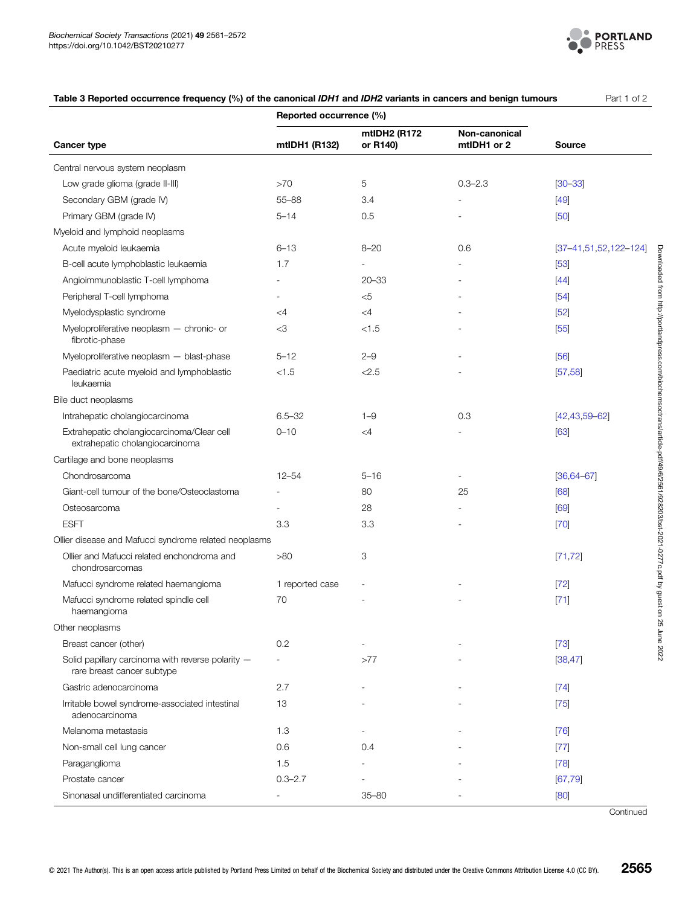

<span id="page-4-0"></span>

| Table 3 Reported occurrence frequency (%) of the canonical IDH1 and IDH2 variants in cancers and benign tumours | Part 1 of 2 |
|-----------------------------------------------------------------------------------------------------------------|-------------|
|-----------------------------------------------------------------------------------------------------------------|-------------|

|                                                                                 | Reported occurrence (%)  |                          |                              |                            |
|---------------------------------------------------------------------------------|--------------------------|--------------------------|------------------------------|----------------------------|
| <b>Cancer type</b>                                                              | mtIDH1 (R132)            | mtIDH2 (R172<br>or R140) | Non-canonical<br>mtIDH1 or 2 | <b>Source</b>              |
| Central nervous system neoplasm                                                 |                          |                          |                              |                            |
| Low grade glioma (grade II-III)                                                 | >70                      | 5                        | $0.3 - 2.3$                  | $[30 - 33]$                |
| Secondary GBM (grade IV)                                                        | $55 - 88$                | 3.4                      |                              | $[49]$                     |
| Primary GBM (grade IV)                                                          | $5 - 14$                 | 0.5                      |                              | [50]                       |
| Myeloid and lymphoid neoplasms                                                  |                          |                          |                              |                            |
| Acute myeloid leukaemia                                                         | $6 - 13$                 | $8 - 20$                 | 0.6                          | $[37-41, 51, 52, 122-124]$ |
| B-cell acute lymphoblastic leukaemia                                            | 1.7                      |                          |                              | $[53]$                     |
| Angioimmunoblastic T-cell lymphoma                                              |                          | $20 - 33$                |                              | $[44]$                     |
| Peripheral T-cell lymphoma                                                      |                          | $<$ 5                    |                              | [54]                       |
| Myelodysplastic syndrome                                                        | $\leq$ 4                 | $\leq$ 4                 |                              | [52]                       |
| Myeloproliferative neoplasm - chronic- or<br>fibrotic-phase                     | $<$ 3                    | < 1.5                    |                              | $[55]$                     |
| Myeloproliferative neoplasm - blast-phase                                       | $5 - 12$                 | $2 - 9$                  |                              | $[56]$                     |
| Paediatric acute myeloid and lymphoblastic<br>leukaemia                         | < 1.5                    | < 2.5                    |                              | [57, 58]                   |
| Bile duct neoplasms                                                             |                          |                          |                              |                            |
| Intrahepatic cholangiocarcinoma                                                 | $6.5 - 32$               | $1 - 9$                  | 0.3                          | $[42, 43, 59 - 62]$        |
| Extrahepatic cholangiocarcinoma/Clear cell<br>extrahepatic cholangiocarcinoma   | $0 - 10$                 | $\leq 4$                 |                              | [63]                       |
| Cartilage and bone neoplasms                                                    |                          |                          |                              |                            |
| Chondrosarcoma                                                                  | $12 - 54$                | $5 - 16$                 |                              | $[36, 64 - 67]$            |
| Giant-cell tumour of the bone/Osteoclastoma                                     |                          | 80                       | 25                           | [68]                       |
| Osteosarcoma                                                                    |                          | 28                       |                              | [69]                       |
| <b>ESFT</b>                                                                     | 3.3                      | 3.3                      |                              | $[70]$                     |
| Ollier disease and Mafucci syndrome related neoplasms                           |                          |                          |                              |                            |
| Ollier and Mafucci related enchondroma and<br>chondrosarcomas                   | >80                      | 3                        |                              | [71, 72]                   |
| Mafucci syndrome related haemangioma                                            | 1 reported case          |                          |                              | $[72]$                     |
| Mafucci syndrome related spindle cell<br>haemangioma                            | 70                       |                          |                              | $[71]$                     |
| Other neoplasms                                                                 |                          |                          |                              |                            |
| Breast cancer (other)                                                           | 0.2                      |                          |                              | $[73]$                     |
| Solid papillary carcinoma with reverse polarity -<br>rare breast cancer subtype | $\sim$                   | >77                      |                              | [38, 47]                   |
| Gastric adenocarcinoma                                                          | 2.7                      |                          |                              | $[74]$                     |
| Irritable bowel syndrome-associated intestinal<br>adenocarcinoma                | 13                       |                          |                              | $[75]$                     |
| Melanoma metastasis                                                             | 1.3                      |                          |                              | $[76]$                     |
| Non-small cell lung cancer                                                      | 0.6                      | 0.4                      |                              | $[77]$                     |
| Paraganglioma                                                                   | 1.5                      |                          |                              | $[78]$                     |
| Prostate cancer                                                                 | $0.3 - 2.7$              |                          |                              | [67, 79]                   |
| Sinonasal undifferentiated carcinoma                                            | $\overline{\phantom{a}}$ | $35 - 80$                |                              | [80]                       |

**Continued**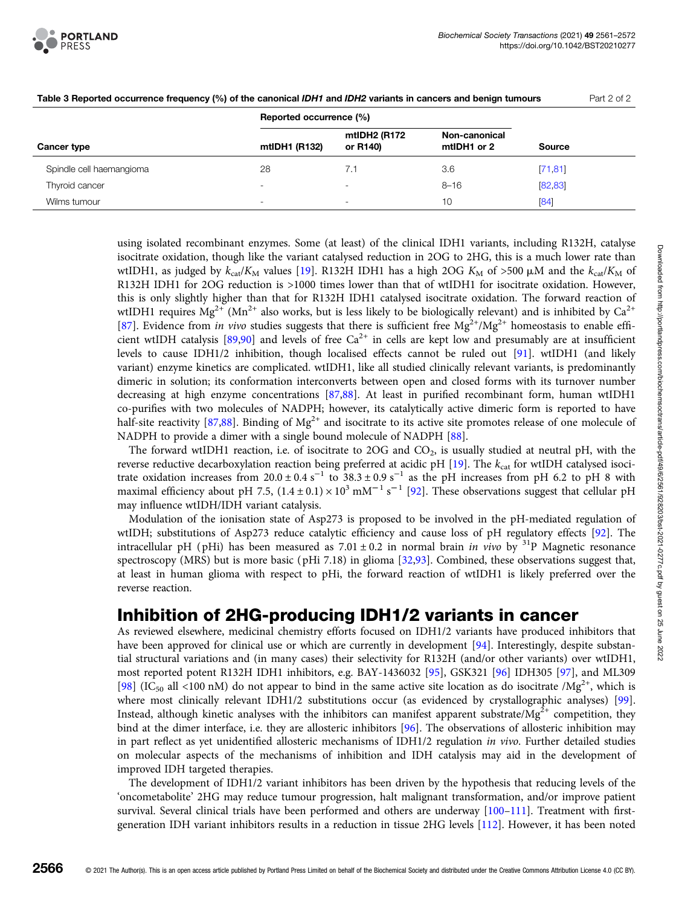

|                          | Reported occurrence (%)  |                          |                              |               |
|--------------------------|--------------------------|--------------------------|------------------------------|---------------|
| Cancer type              | mtIDH1 (R132)            | mtIDH2 (R172<br>or R140) | Non-canonical<br>mtIDH1 or 2 | <b>Source</b> |
| Spindle cell haemangioma | 28                       | 7.1                      | 3.6                          | [71, 81]      |
| Thyroid cancer           | $\overline{\phantom{a}}$ |                          | $8 - 16$                     | [82, 83]      |
| Wilms tumour             | ۰.                       |                          | 10                           | [84]          |

Table 3 Reported occurrence frequency (%) of the canonical IDH1 and IDH2 variants in cancers and benign tumours Part 2 of 2

using isolated recombinant enzymes. Some (at least) of the clinical IDH1 variants, including R132H, catalyse isocitrate oxidation, though like the variant catalysed reduction in 2OG to 2HG, this is a much lower rate than wtIDH1, as judged by  $k_{cat}/K_M$  values [[19](#page-7-0)]. R132H IDH1 has a high 2OG  $K_M$  of >500  $\mu$ M and the  $k_{cat}/K_M$  of R132H IDH1 for 2OG reduction is >1000 times lower than that of wtIDH1 for isocitrate oxidation. However, this is only slightly higher than that for R132H IDH1 catalysed isocitrate oxidation. The forward reaction of wtIDH1 requires Mg<sup>2+</sup> (Mn<sup>2+</sup> also works, but is less likely to be biologically relevant) and is inhibited by Ca<sup>2+</sup> [[87](#page-10-0)]. Evidence from in vivo studies suggests that there is sufficient free  $Mg^{2+}/Mg^{2+}$  homeostasis to enable effi-cient wtIDH catalysis [\[89,90\]](#page-10-0) and levels of free  $Ca^{2+}$  in cells are kept low and presumably are at insufficient levels to cause IDH1/2 inhibition, though localised effects cannot be ruled out [[91](#page-10-0)]. wtIDH1 (and likely variant) enzyme kinetics are complicated. wtIDH1, like all studied clinically relevant variants, is predominantly dimeric in solution; its conformation interconverts between open and closed forms with its turnover number decreasing at high enzyme concentrations [[87,88](#page-10-0)]. At least in purified recombinant form, human wtIDH1 co-purifies with two molecules of NADPH; however, its catalytically active dimeric form is reported to have half-site reactivity [[87,88\]](#page-10-0). Binding of  $Mg^{2+}$  and isocitrate to its active site promotes release of one molecule of NADPH to provide a dimer with a single bound molecule of NADPH [\[88\]](#page-10-0).

The forward wtIDH1 reaction, i.e. of isocitrate to 2OG and  $CO<sub>2</sub>$ , is usually studied at neutral pH, with the reverse reductive decarboxylation reaction being preferred at acidic pH  $[19]$  $[19]$  $[19]$ . The  $k_{\text{cat}}$  for wtIDH catalysed isocitrate oxidation increases from  $20.0 \pm 0.4 \text{ s}^{-1}$  to  $38.3 \pm 0.9 \text{ s}^{-1}$  as the pH increases from pH 6.2 to pH 8 with maximal efficiency about pH 7.5,  $(1.4 \pm 0.1) \times 10^3$  mM<sup>-1</sup> s<sup>-1</sup> [\[92\]](#page-10-0). These observations suggest that cellular pH may influence wtIDH/IDH variant catalysis.

Modulation of the ionisation state of Asp273 is proposed to be involved in the pH-mediated regulation of wtIDH; substitutions of Asp273 reduce catalytic efficiency and cause loss of pH regulatory effects [[92](#page-10-0)]. The intracellular pH (pHi) has been measured as  $7.01 \pm 0.2$  in normal brain in vivo by <sup>31</sup>P Magnetic resonance spectroscopy (MRS) but is more basic ( pHi 7.18) in glioma [[32](#page-8-0)[,93\]](#page-10-0). Combined, these observations suggest that, at least in human glioma with respect to pHi, the forward reaction of wtIDH1 is likely preferred over the reverse reaction.

### Inhibition of 2HG-producing IDH1/2 variants in cancer

As reviewed elsewhere, medicinal chemistry efforts focused on IDH1/2 variants have produced inhibitors that have been approved for clinical use or which are currently in development [[94](#page-10-0)]. Interestingly, despite substantial structural variations and (in many cases) their selectivity for R132H (and/or other variants) over wtIDH1, most reported potent R132H IDH1 inhibitors, e.g. BAY-1436032 [[95\]](#page-10-0), GSK321 [\[96\]](#page-10-0) IDH305 [\[97\]](#page-10-0), and ML309 [[98](#page-10-0)] (IC<sub>50</sub> all <100 nM) do not appear to bind in the same active site location as do isocitrate /Mg<sup>2+</sup>, which is where most clinically relevant IDH1/2 substitutions occur (as evidenced by crystallographic analyses) [[99](#page-10-0)]. Instead, although kinetic analyses with the inhibitors can manifest apparent substrate/ $Mg^{2+}$  competition, they bind at the dimer interface, i.e. they are allosteric inhibitors [[96](#page-10-0)]. The observations of allosteric inhibition may in part reflect as yet unidentified allosteric mechanisms of IDH1/2 regulation in vivo. Further detailed studies on molecular aspects of the mechanisms of inhibition and IDH catalysis may aid in the development of improved IDH targeted therapies.

The development of IDH1/2 variant inhibitors has been driven by the hypothesis that reducing levels of the 'oncometabolite' 2HG may reduce tumour progression, halt malignant transformation, and/or improve patient survival. Several clinical trials have been performed and others are underway [\[100](#page-10-0)–[111](#page-11-0)]. Treatment with firstgeneration IDH variant inhibitors results in a reduction in tissue 2HG levels [[112\]](#page-11-0). However, it has been noted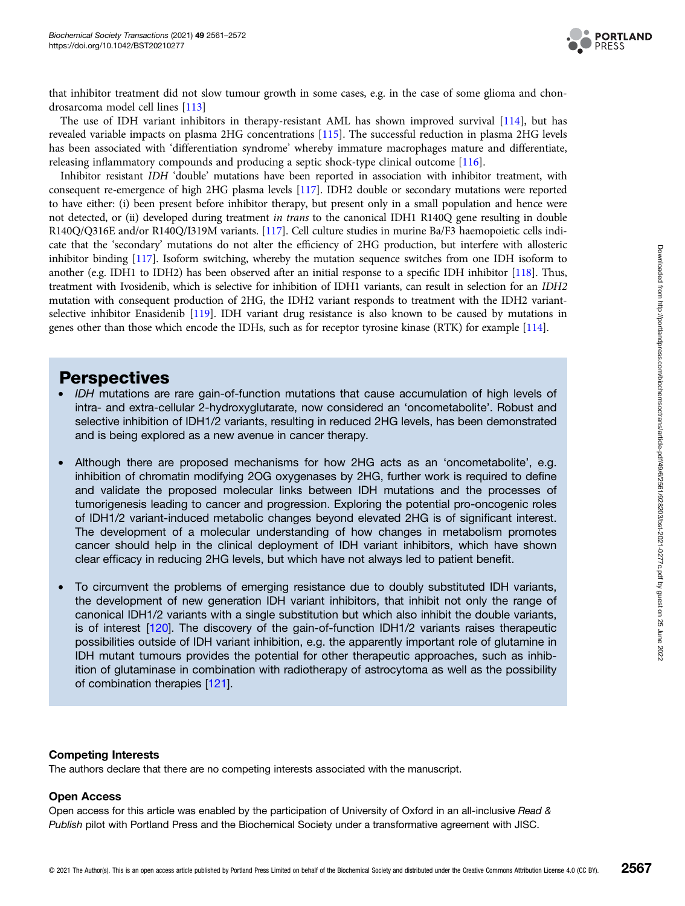

that inhibitor treatment did not slow tumour growth in some cases, e.g. in the case of some glioma and chondrosarcoma model cell lines [[113\]](#page-11-0)

The use of IDH variant inhibitors in therapy-resistant AML has shown improved survival [[114](#page-11-0)], but has revealed variable impacts on plasma 2HG concentrations [\[115\]](#page-11-0). The successful reduction in plasma 2HG levels has been associated with 'differentiation syndrome' whereby immature macrophages mature and differentiate, releasing inflammatory compounds and producing a septic shock-type clinical outcome [\[116](#page-11-0)].

Inhibitor resistant IDH 'double' mutations have been reported in association with inhibitor treatment, with consequent re-emergence of high 2HG plasma levels [[117](#page-11-0)]. IDH2 double or secondary mutations were reported to have either: (i) been present before inhibitor therapy, but present only in a small population and hence were not detected, or (ii) developed during treatment in trans to the canonical IDH1 R140Q gene resulting in double R140Q/Q316E and/or R140Q/I319M variants. [\[117](#page-11-0)]. Cell culture studies in murine Ba/F3 haemopoietic cells indicate that the 'secondary' mutations do not alter the efficiency of 2HG production, but interfere with allosteric inhibitor binding [\[117](#page-11-0)]. Isoform switching, whereby the mutation sequence switches from one IDH isoform to another (e.g. IDH1 to IDH2) has been observed after an initial response to a specific IDH inhibitor [\[118](#page-11-0)]. Thus, treatment with Ivosidenib, which is selective for inhibition of IDH1 variants, can result in selection for an IDH2 mutation with consequent production of 2HG, the IDH2 variant responds to treatment with the IDH2 variantselective inhibitor Enasidenib [\[119](#page-11-0)]. IDH variant drug resistance is also known to be caused by mutations in genes other than those which encode the IDHs, such as for receptor tyrosine kinase (RTK) for example [[114\]](#page-11-0).

### **Perspectives**

- IDH mutations are rare gain-of-function mutations that cause accumulation of high levels of intra- and extra-cellular 2-hydroxyglutarate, now considered an 'oncometabolite'. Robust and selective inhibition of IDH1/2 variants, resulting in reduced 2HG levels, has been demonstrated and is being explored as a new avenue in cancer therapy.
- Although there are proposed mechanisms for how 2HG acts as an 'oncometabolite', e.g. inhibition of chromatin modifying 2OG oxygenases by 2HG, further work is required to define and validate the proposed molecular links between IDH mutations and the processes of tumorigenesis leading to cancer and progression. Exploring the potential pro-oncogenic roles of IDH1/2 variant-induced metabolic changes beyond elevated 2HG is of significant interest. The development of a molecular understanding of how changes in metabolism promotes cancer should help in the clinical deployment of IDH variant inhibitors, which have shown clear efficacy in reducing 2HG levels, but which have not always led to patient benefit.
- To circumvent the problems of emerging resistance due to doubly substituted IDH variants, the development of new generation IDH variant inhibitors, that inhibit not only the range of canonical IDH1/2 variants with a single substitution but which also inhibit the double variants, is of interest [[120](#page-11-0)]. The discovery of the gain-of-function IDH1/2 variants raises therapeutic possibilities outside of IDH variant inhibition, e.g. the apparently important role of glutamine in IDH mutant tumours provides the potential for other therapeutic approaches, such as inhibition of glutaminase in combination with radiotherapy of astrocytoma as well as the possibility of combination therapies [[121](#page-11-0)].

#### Competing Interests

The authors declare that there are no competing interests associated with the manuscript.

#### Open Access

Open access for this article was enabled by the participation of University of Oxford in an all-inclusive Read & Publish pilot with Portland Press and the Biochemical Society under a transformative agreement with JISC.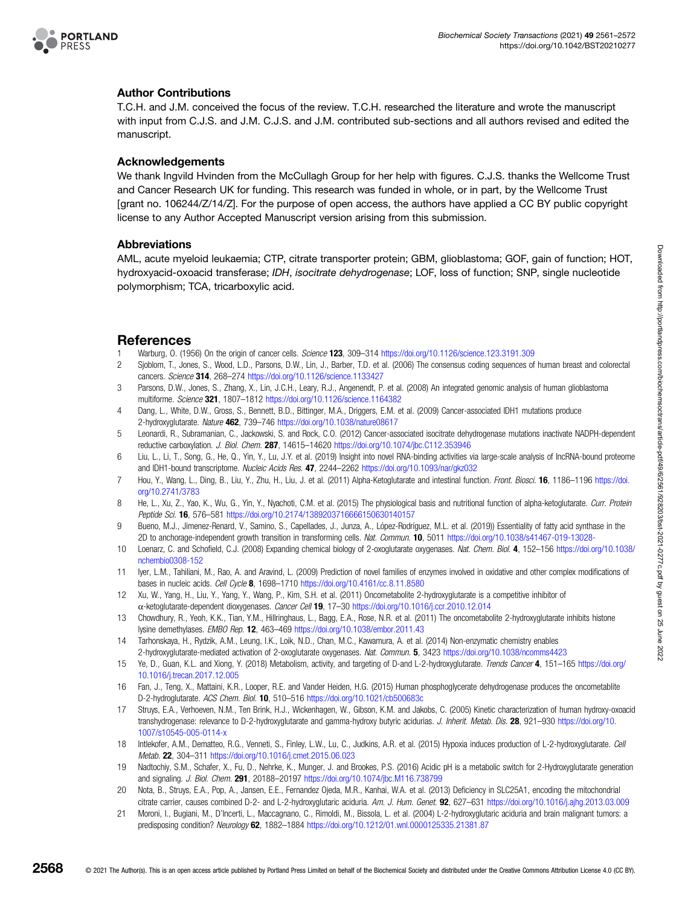<span id="page-7-0"></span>

### Author Contributions

T.C.H. and J.M. conceived the focus of the review. T.C.H. researched the literature and wrote the manuscript with input from C.J.S. and J.M. C.J.S. and J.M. contributed sub-sections and all authors revised and edited the manuscript.

#### Acknowledgements

We thank Ingvild Hvinden from the McCullagh Group for her help with figures. C.J.S. thanks the Wellcome Trust and Cancer Research UK for funding. This research was funded in whole, or in part, by the Wellcome Trust [grant no. 106244/Z/14/Z]. For the purpose of open access, the authors have applied a CC BY public copyright license to any Author Accepted Manuscript version arising from this submission.

#### Abbreviations

AML, acute myeloid leukaemia; CTP, citrate transporter protein; GBM, glioblastoma; GOF, gain of function; HOT, hydroxyacid-oxoacid transferase; IDH, isocitrate dehydrogenase; LOF, loss of function; SNP, single nucleotide polymorphism; TCA, tricarboxylic acid.

### References

- 1 Warburg, O. (1956) On the origin of cancer cells. Science 123, 309–314 <https://doi.org/10.1126/science.123.3191.309>
- 2 Sjoblom, T., Jones, S., Wood, L.D., Parsons, D.W., Lin, J., Barber, T.D. et al. (2006) The consensus coding sequences of human breast and colorectal cancers. Science 314, 268–274 <https://doi.org/10.1126/science.1133427>
- 3 Parsons, D.W., Jones, S., Zhang, X., Lin, J.C.H., Leary, R.J., Angenendt, P. et al. (2008) An integrated genomic analysis of human glioblastoma multiforme. Science 321, 1807–1812 <https://doi.org/10.1126/science.1164382>
- 4 Dang, L., White, D.W., Gross, S., Bennett, B.D., Bittinger, M.A., Driggers, E.M. et al. (2009) Cancer-associated IDH1 mutations produce 2-hydroxyglutarate. Nature 462, 739–746 <https://doi.org/10.1038/nature08617>
- 5 Leonardi, R., Subramanian, C., Jackowski, S. and Rock, C.O. (2012) Cancer-associated isocitrate dehydrogenase mutations inactivate NADPH-dependent reductive carboxylation. J. Biol. Chem. 287, 14615–14620 <https://doi.org/10.1074/jbc.C112.353946>
- 6 Liu, L., Li, T., Song, G., He, Q., Yin, Y., Lu, J.Y. et al. (2019) Insight into novel RNA-binding activities via large-scale analysis of IncRNA-bound proteome and IDH1-bound transcriptome. Nucleic Acids Res. 47, 2244–2262 <https://doi.org/10.1093/nar/gkz032>
- 7 Hou, Y., Wang, L., Ding, B., Liu, Y., Zhu, H., Liu, J. et al. (2011) Alpha-Ketoglutarate and intestinal function. Front. Biosci. 16, 1186-1196 [https://doi.](https://doi.org/10.2741/3783) [org/10.2741/3783](https://doi.org/10.2741/3783)
- 8 He, L., Xu, Z., Yao, K., Wu, G., Yin, Y., Nyachoti, C.M. et al. (2015) The physiological basis and nutritional function of alpha-ketoglutarate. Curr. Protein Peptide Sci. 16, 576–581 <https://doi.org/10.2174/1389203716666150630140157>
- 9 Bueno, M.J., Jimenez-Renard, V., Samino, S., Capellades, J., Junza, A., López-Rodríguez, M.L. et al. (2019)) Essentiality of fatty acid synthase in the 2D to anchorage-independent growth transition in transforming cells. Nat. Commun. 10, 5011 <https://doi.org/10.1038/s41467-019-13028->
- 10 Loenarz, C. and Schofield, C.J. (2008) Expanding chemical biology of 2-oxoglutarate oxygenases. Nat. Chem. Biol. 4, 152–156 [https://doi.org/10.1038/](https://doi.org/10.1038/nchembio0308-152) [nchembio0308-152](https://doi.org/10.1038/nchembio0308-152)
- 11 Iyer, L.M., Tahiliani, M., Rao, A. and Aravind, L. (2009) Prediction of novel families of enzymes involved in oxidative and other complex modifications of bases in nucleic acids. Cell Cycle 8, 1698–1710 <https://doi.org/10.4161/cc.8.11.8580>
- 12 Xu, W., Yang, H., Liu, Y., Yang, Y., Wang, P., Kim, S.H. et al. (2011) Oncometabolite 2-hydroxyglutarate is a competitive inhibitor of α-ketoglutarate-dependent dioxygenases. Cancer Cell 19, 17–30 <https://doi.org/10.1016/j.ccr.2010.12.014>
- 13 Chowdhury, R., Yeoh, K.K., Tian, Y.M., Hillringhaus, L., Bagg, E.A., Rose, N.R. et al. (2011) The oncometabolite 2-hydroxyglutarate inhibits histone lysine demethylases. EMBO Rep. 12, 463–469 <https://doi.org/10.1038/embor.2011.43>
- 14 Tarhonskaya, H., Rydzik, A.M., Leung, I.K., Loik, N.D., Chan, M.C., Kawamura, A. et al. (2014) Non-enzymatic chemistry enables 2-hydroxyglutarate-mediated activation of 2-oxoglutarate oxygenases. Nat. Commun. 5, 3423 <https://doi.org/10.1038/ncomms4423>
- 15 Ye, D., Guan, K.L. and Xiong, Y. (2018) Metabolism, activity, and targeting of D-and L-2-hydroxyglutarate. Trends Cancer 4, 151–165 [https://doi.org/](https://doi.org/10.1016/j.trecan.2017.12.005) [10.1016/j.trecan.2017.12.005](https://doi.org/10.1016/j.trecan.2017.12.005)
- 16 Fan, J., Teng, X., Mattaini, K.R., Looper, R.E. and Vander Heiden, H.G. (2015) Human phosphoglycerate dehydrogenase produces the oncometablite D-2-hydroglutarate. ACS Chem. Biol. 10, 510–516 <https://doi.org/10.1021/cb500683c>
- 17 Struys, E.A., Verhoeven, N.M., Ten Brink, H.J., Wickenhagen, W., Gibson, K.M. and Jakobs, C. (2005) Kinetic characterization of human hydroxy-oxoacid transhydrogenase: relevance to D-2-hydroxyglutarate and gamma-hydroxy butyric acidurias. J. Inherit. Metab. Dis. 28, 921-930 [https://doi.org/10.](https://doi.org/10.1007/s10545-005-0114-x) [1007/s10545-005-0114-x](https://doi.org/10.1007/s10545-005-0114-x)
- 18 Intlekofer, A.M., Dematteo, R.G., Venneti, S., Finley, L.W., Lu, C., Judkins, A.R. et al. (2015) Hypoxia induces production of L-2-hydroxyglutarate. Cell Metab. 22, 304–311 <https://doi.org/10.1016/j.cmet.2015.06.023>
- 19 Nadtochiy, S.M., Schafer, X., Fu, D., Nehrke, K., Munger, J. and Brookes, P.S. (2016) Acidic pH is a metabolic switch for 2-Hydroxyglutarate generation and signaling. J. Biol. Chem. 291, 20188–20197 <https://doi.org/10.1074/jbc.M116.738799>
- 20 Nota, B., Struys, E.A., Pop, A., Jansen, E.E., Fernandez Ojeda, M.R., Kanhai, W.A. et al. (2013) Deficiency in SLC25A1, encoding the mitochondrial citrate carrier, causes combined D-2- and L-2-hydroxyglutaric aciduria. Am. J. Hum. Genet. 92, 627–631 <https://doi.org/10.1016/j.ajhg.2013.03.009>
- 21 Moroni, I., Bugiani, M., D'Incerti, L., Maccagnano, C., Rimoldi, M., Bissola, L. et al. (2004) L-2-hydroxyglutaric aciduria and brain malignant tumors: a predisposing condition? Neurology 62, 1882–1884 <https://doi.org/10.1212/01.wnl.0000125335.21381.87>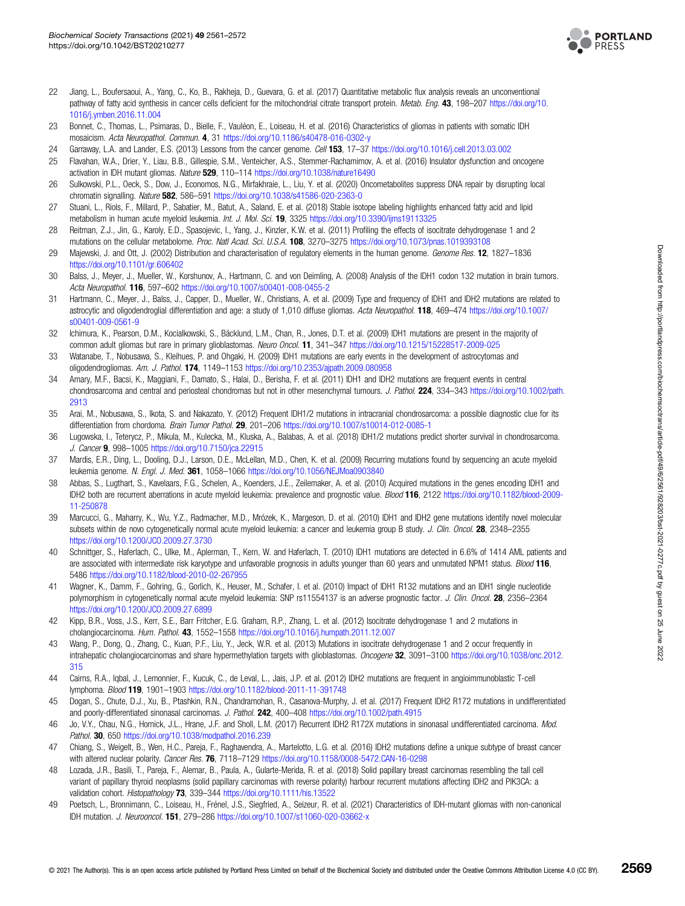

- <span id="page-8-0"></span>22 Jiang, L., Boufersaoui, A., Yang, C., Ko, B., Rakheja, D., Guevara, G. et al. (2017) Quantitative metabolic flux analysis reveals an unconventional pathway of fatty acid synthesis in cancer cells deficient for the mitochondrial citrate transport protein. Metab. Eng. 43, 198-207 [https://doi.org/10.](https://doi.org/10.1016/j.ymben.2016.11.004) [1016/j.ymben.2016.11.004](https://doi.org/10.1016/j.ymben.2016.11.004)
- 23 Bonnet, C., Thomas, L., Psimaras, D., Bielle, F., Vauléon, E., Loiseau, H. et al. (2016) Characteristics of gliomas in patients with somatic IDH mosaicism. Acta Neuropathol. Commun. 4, 31 <https://doi.org/10.1186/s40478-016-0302-y>
- 24 Garraway, L.A. and Lander, E.S. (2013) Lessons from the cancer genome. Cell 153, 17–37 <https://doi.org/10.1016/j.cell.2013.03.002>
- 25 Flavahan, W.A., Drier, Y., Liau, B.B., Gillespie, S.M., Venteicher, A.S., Stemmer-Rachamimov, A. et al. (2016) Insulator dysfunction and oncogene activation in IDH mutant gliomas. Nature 529, 110–114 <https://doi.org/10.1038/nature16490>
- 26 Sulkowski, P.L., Oeck, S., Dow, J., Economos, N.G., Mirfakhraie, L., Liu, Y. et al. (2020) Oncometabolites suppress DNA repair by disrupting local chromatin signalling. Nature 582, 586–591 <https://doi.org/10.1038/s41586-020-2363-0>
- 27 Stuani, L., Riols, F., Millard, P., Sabatier, M., Batut, A., Saland, E. et al. (2018) Stable isotope labeling highlights enhanced fatty acid and lipid metabolism in human acute myeloid leukemia. Int. J. Mol. Sci. 19, 3325 <https://doi.org/10.3390/ijms19113325>
- 28 Reitman, Z.J., Jin, G., Karoly, E.D., Spasojevic, I., Yang, J., Kinzler, K.W. et al. (2011) Profiling the effects of isocitrate dehydrogenase 1 and 2 mutations on the cellular metabolome. Proc. Natl Acad. Sci. U.S.A. 108, 3270–3275 <https://doi.org/10.1073/pnas.1019393108>
- 29 Majewski, J. and Ott, J. (2002) Distribution and characterisation of regulatory elements in the human genome. Genome Res. 12, 1827–1836 <https://doi.org/10.1101/gr.606402>
- 30 Balss, J., Meyer, J., Mueller, W., Korshunov, A., Hartmann, C. and von Deimling, A. (2008) Analysis of the IDH1 codon 132 mutation in brain tumors. Acta Neuropathol. 116, 597–602 <https://doi.org/10.1007/s00401-008-0455-2>
- 31 Hartmann, C., Meyer, J., Balss, J., Capper, D., Mueller, W., Christians, A. et al. (2009) Type and frequency of IDH1 and IDH2 mutations are related to astrocytic and oligodendroglial differentiation and age: a study of 1,010 diffuse gliomas. Acta Neuropathol. 118, 469–474 [https://doi.org/10.1007/](https://doi.org/10.1007/s00401-009-0561-9) [s00401-009-0561-9](https://doi.org/10.1007/s00401-009-0561-9)
- 32 Ichimura, K., Pearson, D.M., Kocialkowski, S., Bäcklund, L.M., Chan, R., Jones, D.T. et al. (2009) IDH1 mutations are present in the majority of common adult gliomas but rare in primary glioblastomas. Neuro Oncol. 11, 341-347 <https://doi.org/10.1215/15228517-2009-025>
- 33 Watanabe, T., Nobusawa, S., Kleihues, P. and Ohgaki, H. (2009) IDH1 mutations are early events in the development of astrocytomas and oligodendrogliomas. Am. J. Pathol. 174, 1149–1153 <https://doi.org/10.2353/ajpath.2009.080958>
- 34 Amary, M.F., Bacsi, K., Maggiani, F., Damato, S., Halai, D., Berisha, F. et al. (2011) IDH1 and IDH2 mutations are frequent events in central chondrosarcoma and central and periosteal chondromas but not in other mesenchymal tumours. J. Pathol. 224, 334–343 [https://doi.org/10.1002/path.](https://doi.org/10.1002/path.2913) [2913](https://doi.org/10.1002/path.2913)
- 35 Arai, M., Nobusawa, S., Ikota, S. and Nakazato, Y. (2012) Frequent IDH1/2 mutations in intracranial chondrosarcoma: a possible diagnostic clue for its differentiation from chordoma. Brain Tumor Pathol. 29, 201-206 <https://doi.org/10.1007/s10014-012-0085-1>
- 36 Lugowska, I., Teterycz, P., Mikula, M., Kulecka, M., Kluska, A., Balabas, A. et al. (2018) IDH1/2 mutations predict shorter survival in chondrosarcoma. J. Cancer 9, 998–1005 <https://doi.org/10.7150/jca.22915>
- 37 Mardis, E.R., Ding, L., Dooling, D.J., Larson, D.E., McLellan, M.D., Chen, K. et al. (2009) Recurring mutations found by sequencing an acute myeloid leukemia genome. N. Engl. J. Med. 361, 1058-1066 <https://doi.org/10.1056/NEJMoa0903840>
- 38 Abbas, S., Lugthart, S., Kavelaars, F.G., Schelen, A., Koenders, J.E., Zeilemaker, A. et al. (2010) Acquired mutations in the genes encoding IDH1 and IDH2 both are recurrent aberrations in acute myeloid leukemia: prevalence and prognostic value. Blood 116, 2122 [https://doi.org/10.1182/blood-2009-](https://doi.org/10.1182/blood-2009-11-250878) [11-250878](https://doi.org/10.1182/blood-2009-11-250878)
- 39 Marcucci, G., Maharry, K., Wu, Y.Z., Radmacher, M.D., Mrózek, K., Margeson, D. et al. (2010) IDH1 and IDH2 gene mutations identify novel molecular subsets within de novo cytogenetically normal acute myeloid leukemia: a cancer and leukemia group B study. J. Clin. Oncol. 28, 2348–2355 <https://doi.org/10.1200/JCO.2009.27.3730>
- 40 Schnittger, S., Haferlach, C., Ulke, M., Aplerman, T., Kern, W. and Haferlach, T. (2010) IDH1 mutations are detected in 6.6% of 1414 AML patients and are associated with intermediate risk karyotype and unfavorable prognosis in adults younger than 60 years and unmutated NPM1 status. Blood 116, 5486 <https://doi.org/10.1182/blood-2010-02-267955>
- 41 Wagner, K., Damm, F., Gohring, G., Gorlich, K., Heuser, M., Schafer, I. et al. (2010) Impact of IDH1 R132 mutations and an IDH1 single nucleotide polymorphism in cytogenetically normal acute myeloid leukemia: SNP rs11554137 is an adverse prognostic factor. J. Clin. Oncol. 28, 2356–2364 <https://doi.org/10.1200/JCO.2009.27.6899>
- 42 Kipp, B.R., Voss, J.S., Kerr, S.E., Barr Fritcher, E.G. Graham, R.P., Zhang, L. et al. (2012) Isocitrate dehydrogenase 1 and 2 mutations in cholangiocarcinoma. Hum. Pathol. 43, 1552–1558 <https://doi.org/10.1016/j.humpath.2011.12.007>
- 43 Wang, P., Dong, Q., Zhang, C., Kuan, P.F., Liu, Y., Jeck, W.R. et al. (2013) Mutations in isocitrate dehydrogenase 1 and 2 occur frequently in intrahepatic cholangiocarcinomas and share hypermethylation targets with glioblastomas. Oncogene 32, 3091-3100 [https://doi.org/10.1038/onc.2012.](https://doi.org/10.1038/onc.2012.315) [315](https://doi.org/10.1038/onc.2012.315)
- 44 Cairns, R.A., Iqbal, J., Lemonnier, F., Kucuk, C., de Leval, L., Jais, J.P. et al. (2012) IDH2 mutations are frequent in angioimmunoblastic T-cell lymphoma. Blood 119, 1901–1903 <https://doi.org/10.1182/blood-2011-11-391748>
- 45 Dogan, S., Chute, D.J., Xu, B., Ptashkin, R.N., Chandramohan, R., Casanova-Murphy, J. et al. (2017) Frequent IDH2 R172 mutations in undifferentiated and poorly-differentiated sinonasal carcinomas. J. Pathol. 242, 400–408 <https://doi.org/10.1002/path.4915>
- 46 Jo, V.Y., Chau, N.G., Hornick, J.L., Hrane, J.F. and Sholl, L.M. (2017) Recurrent IDH2 R172X mutations in sinonasal undifferentiated carcinoma. Mod. Pathol. 30, 650 <https://doi.org/10.1038/modpathol.2016.239>
- 47 Chiang, S., Weigelt, B., Wen, H.C., Pareja, F., Raghavendra, A., Martelotto, L.G. et al. (2016) IDH2 mutations define a unique subtype of breast cancer with altered nuclear polarity. Cancer Res. 76, 7118-7129 <https://doi.org/10.1158/0008-5472.CAN-16-0298>
- 48 Lozada, J.R., Basili, T., Pareja, F., Alemar, B., Paula, A., Gularte-Merida, R. et al. (2018) Solid papillary breast carcinomas resembling the tall cell variant of papillary thyroid neoplasms (solid papillary carcinomas with reverse polarity) harbour recurrent mutations affecting IDH2 and PIK3CA: a validation cohort. Histopathology 73, 339-344 <https://doi.org/10.1111/his.13522>
- 49 Poetsch, L., Bronnimann, C., Loiseau, H., Frénel, J.S., Siegfried, A., Seizeur, R. et al. (2021) Characteristics of IDH-mutant gliomas with non-canonical IDH mutation. J. Neurooncol. 151, 279–286 <https://doi.org/10.1007/s11060-020-03662-x>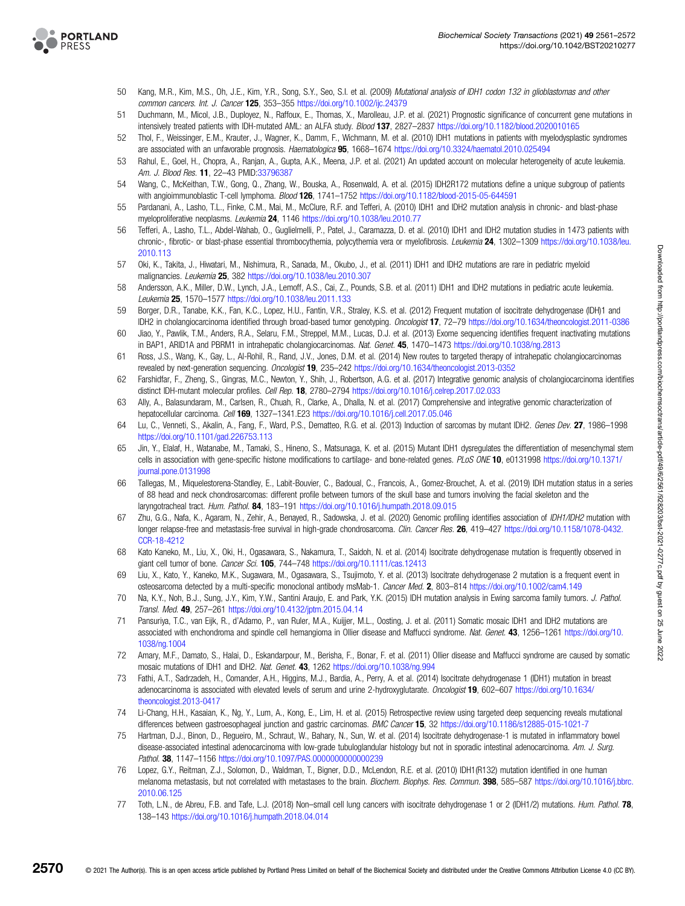<span id="page-9-0"></span>

- 50 Kang, M.R., Kim, M.S., Oh, J.E., Kim, Y.R., Song, S.Y., Seo, S.I. et al. (2009) Mutational analysis of IDH1 codon 132 in glioblastomas and other common cancers. Int. J. Cancer 125, 353–355 <https://doi.org/10.1002/ijc.24379>
- 51 Duchmann, M., Micol, J.B., Duployez, N., Raffoux, E., Thomas, X., Marolleau, J.P. et al. (2021) Prognostic significance of concurrent gene mutations in intensively treated patients with IDH-mutated AML: an ALFA study. Blood 137, 2827–2837 <https://doi.org/10.1182/blood.2020010165>
- 52 Thol, F., Weissinger, E.M., Krauter, J., Wagner, K., Damm, F., Wichmann, M. et al. (2010) IDH1 mutations in patients with myelodysplastic syndromes are associated with an unfavorable prognosis. Haematologica 95, 1668-1674 <https://doi.org/10.3324/haematol.2010.025494>
- 53 Rahul, E., Goel, H., Chopra, A., Ranjan, A., Gupta, A.K., Meena, J.P. et al. (2021) An updated account on molecular heterogeneity of acute leukemia. Am. J. Blood Res. **11**, 22-43 PMID[:33796387](http://www.ncbi.nlm.nih.gov/pubmed/33796387)
- 54 Wang, C., McKeithan, T.W., Gong, Q., Zhang, W., Bouska, A., Rosenwald, A. et al. (2015) IDH2R172 mutations define a unique subgroup of patients with angioimmunoblastic T-cell lymphoma. Blood 126, 1741-1752 <https://doi.org/10.1182/blood-2015-05-644591>
- 55 Pardanani, A., Lasho, T.L., Finke, C.M., Mai, M., McClure, R.F. and Tefferi, A. (2010) IDH1 and IDH2 mutation analysis in chronic- and blast-phase myeloproliferative neoplasms. Leukemia 24, 1146 <https://doi.org/10.1038/leu.2010.77>
- 56 Tefferi, A., Lasho, T.L., Abdel-Wahab, O., Guglielmelli, P., Patel, J., Caramazza, D. et al. (2010) IDH1 and IDH2 mutation studies in 1473 patients with chronic-, fibrotic- or blast-phase essential thrombocythemia, polycythemia vera or myelofibrosis. Leukemia 24, 1302-1309 [https://doi.org/10.1038/leu.](https://doi.org/10.1038/leu.2010.113) [2010.113](https://doi.org/10.1038/leu.2010.113)
- 57 Oki, K., Takita, J., Hiwatari, M., Nishimura, R., Sanada, M., Okubo, J., et al. (2011) IDH1 and IDH2 mutations are rare in pediatric myeloid malignancies. Leukemia 25, 382 <https://doi.org/10.1038/leu.2010.307>
- 58 Andersson, A.K., Miller, D.W., Lynch, J.A., Lemoff, A.S., Cai, Z., Pounds, S.B. et al. (2011) IDH1 and IDH2 mutations in pediatric acute leukemia. Leukemia 25, 1570–1577 <https://doi.org/10.1038/leu.2011.133>
- 59 Borger, D.R., Tanabe, K.K., Fan, K.C., Lopez, H.U., Fantin, V.R., Straley, K.S. et al. (2012) Frequent mutation of isocitrate dehydrogenase (IDH)1 and IDH2 in cholangiocarcinoma identified through broad-based tumor genotyping. Oncologist 17, 72-79 <https://doi.org/10.1634/theoncologist.2011-0386>
- 60 Jiao, Y., Pawlik, T.M., Anders, R.A., Selaru, F.M., Streppel, M.M., Lucas, D.J. et al. (2013) Exome sequencing identifies frequent inactivating mutations in BAP1, ARID1A and PBRM1 in intrahepatic cholangiocarcinomas. Nat. Genet. 45, 1470-1473 <https://doi.org/10.1038/ng.2813>
- 61 Ross, J.S., Wang, K., Gay, L., Al-Rohil, R., Rand, J.V., Jones, D.M. et al. (2014) New routes to targeted therapy of intrahepatic cholangiocarcinomas revealed by next-generation sequencing. Oncologist 19, 235–242 <https://doi.org/10.1634/theoncologist.2013-0352>
- 62 Farshidfar, F., Zheng, S., Gingras, M.C., Newton, Y., Shih, J., Robertson, A.G. et al. (2017) Integrative genomic analysis of cholangiocarcinoma identifies distinct IDH-mutant molecular profiles. Cell Rep. 18, 2780–2794 <https://doi.org/10.1016/j.celrep.2017.02.033>
- 63 Ally, A., Balasundaram, M., Carlsen, R., Chuah, R., Clarke, A., Dhalla, N. et al. (2017) Comprehensive and integrative genomic characterization of hepatocellular carcinoma. Cell 169, 1327–1341.E23 <https://doi.org/10.1016/j.cell.2017.05.046>
- 64 Lu, C., Venneti, S., Akalin, A., Fang, F., Ward, P.S., Dematteo, R.G. et al. (2013) Induction of sarcomas by mutant IDH2. Genes Dev. 27, 1986–1998 <https://doi.org/10.1101/gad.226753.113>
- 65 Jin, Y., Elalaf, H., Watanabe, M., Tamaki, S., Hineno, S., Matsunaga, K. et al. (2015) Mutant IDH1 dysregulates the differentiation of mesenchymal stem cells in association with gene-specific histone modifications to cartilage- and bone-related genes. PLoS ONE 10, e0131998 [https://doi.org/10.1371/](https://doi.org/10.1371/journal.pone.0131998) [journal.pone.0131998](https://doi.org/10.1371/journal.pone.0131998)
- 66 Tallegas, M., Miquelestorena-Standley, E., Labit-Bouvier, C., Badoual, C., Francois, A., Gomez-Brouchet, A. et al. (2019) IDH mutation status in a series of 88 head and neck chondrosarcomas: different profile between tumors of the skull base and tumors involving the facial skeleton and the laryngotracheal tract. Hum. Pathol. 84, 183–191 <https://doi.org/10.1016/j.humpath.2018.09.015>
- 67 Zhu, G.G., Nafa, K., Agaram, N., Zehir, A., Benayed, R., Sadowska, J. et al. (2020) Genomic profiling identifies association of IDH1/IDH2 mutation with longer relapse-free and metastasis-free survival in high-grade chondrosarcoma. Clin. Cancer Res. 26, 419-427 [https://doi.org/10.1158/1078-0432.](https://doi.org/10.1158/1078-0432.CCR-18-4212) [CCR-18-4212](https://doi.org/10.1158/1078-0432.CCR-18-4212)
- 68 Kato Kaneko, M., Liu, X., Oki, H., Ogasawara, S., Nakamura, T., Saidoh, N. et al. (2014) Isocitrate dehydrogenase mutation is frequently observed in giant cell tumor of bone. Cancer Sci. 105, 744-748 <https://doi.org/10.1111/cas.12413>
- 69 Liu, X., Kato, Y., Kaneko, M.K., Sugawara, M., Ogasawara, S., Tsujimoto, Y. et al. (2013) Isocitrate dehydrogenase 2 mutation is a frequent event in osteosarcoma detected by a multi-specific monoclonal antibody msMab-1. Cancer Med. 2, 803–814 <https://doi.org/10.1002/cam4.149>
- 70 Na, K.Y., Noh, B.J., Sung, J.Y., Kim, Y.W., Santini Araujo, E. and Park, Y.K. (2015) IDH mutation analysis in Ewing sarcoma family tumors. J. Pathol. Transl. Med. 49, 257–261 <https://doi.org/10.4132/jptm.2015.04.14>
- 71 Pansuriya, T.C., van Eijk, R., d'Adamo, P., van Ruler, M.A., Kuijjer, M.L., Oosting, J. et al. (2011) Somatic mosaic IDH1 and IDH2 mutations are associated with enchondroma and spindle cell hemangioma in Ollier disease and Maffucci syndrome. Nat. Genet. 43, 1256–1261 [https://doi.org/10.](https://doi.org/10.1038/ng.1004) [1038/ng.1004](https://doi.org/10.1038/ng.1004)
- 72 Amary, M.F., Damato, S., Halai, D., Eskandarpour, M., Berisha, F., Bonar, F. et al. (2011) Ollier disease and Maffucci syndrome are caused by somatic mosaic mutations of IDH1 and IDH2. Nat. Genet. 43, 1262 <https://doi.org/10.1038/ng.994>
- 73 Fathi, A.T., Sadrzadeh, H., Comander, A.H., Higgins, M.J., Bardia, A., Perry, A. et al. (2014) Isocitrate dehydrogenase 1 (IDH1) mutation in breast adenocarcinoma is associated with elevated levels of serum and urine 2-hydroxyglutarate. Oncologist 19, 602–607 [https://doi.org/10.1634/](https://doi.org/10.1634/theoncologist.2013-0417) [theoncologist.2013-0417](https://doi.org/10.1634/theoncologist.2013-0417)
- 74 Li-Chang, H.H., Kasaian, K., Ng, Y., Lum, A., Kong, E., Lim, H. et al. (2015) Retrospective review using targeted deep sequencing reveals mutational differences between gastroesophageal junction and gastric carcinomas. BMC Cancer 15, 32 <https://doi.org/10.1186/s12885-015-1021-7>
- 75 Hartman, D.J., Binon, D., Regueiro, M., Schraut, W., Bahary, N., Sun, W. et al. (2014) Isocitrate dehydrogenase-1 is mutated in inflammatory bowel disease-associated intestinal adenocarcinoma with low-grade tubuloglandular histology but not in sporadic intestinal adenocarcinoma. Am. J. Surg. Pathol. 38, 1147-1156 <https://doi.org/10.1097/PAS.0000000000000239>
- 76 Lopez, G.Y., Reitman, Z.J., Solomon, D., Waldman, T., Bigner, D.D., McLendon, R.E. et al. (2010) IDH1(R132) mutation identified in one human melanoma metastasis, but not correlated with metastases to the brain. Biochem. Biophys. Res. Commun. 398, 585–587 [https://doi.org/10.1016/j.bbrc.](https://doi.org/10.1016/j.bbrc.2010.06.125) [2010.06.125](https://doi.org/10.1016/j.bbrc.2010.06.125)
- 77 Toth, L.N., de Abreu, F.B. and Tafe, L.J. (2018) Non–small cell lung cancers with isocitrate dehydrogenase 1 or 2 (IDH1/2) mutations. Hum. Pathol. 78, 138–143 <https://doi.org/10.1016/j.humpath.2018.04.014>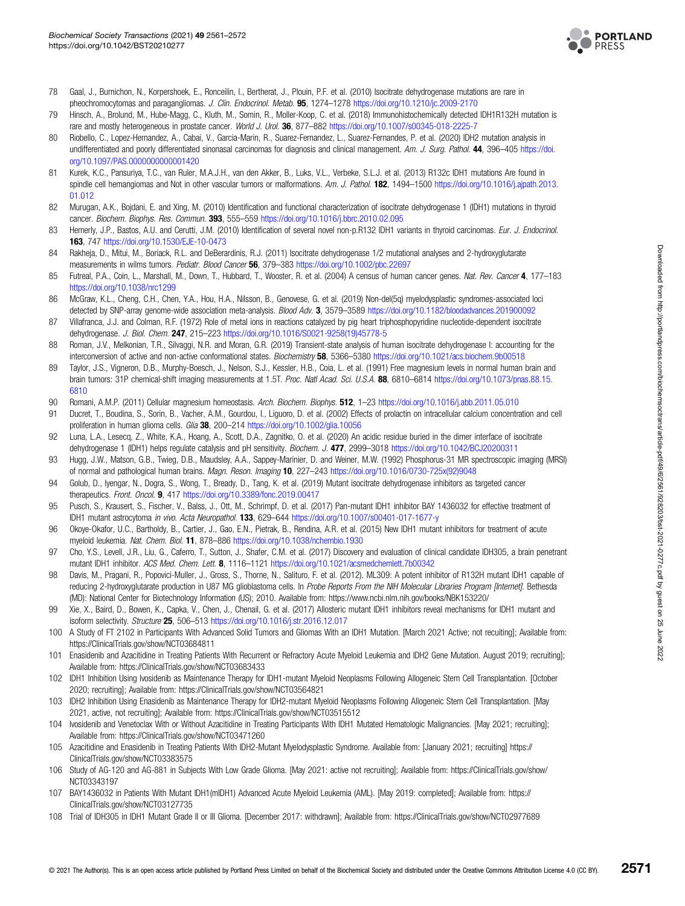

- <span id="page-10-0"></span>78 Gaal, J., Burnichon, N., Korpershoek, E., Ronceilin, I., Bertherat, J., Plouin, P.F. et al. (2010) Isocitrate dehydrogenase mutations are rare in pheochromocytomas and paragangliomas. J. Clin. Endocrinol. Metab. 95, 1274–1278 <https://doi.org/10.1210/jc.2009-2170>
- 79 Hinsch, A., Brolund, M., Hube-Magg, C., Kluth, M., Somin, R., Moller-Koop, C. et al. (2018) Immunohistochemically detected IDH1R132H mutation is rare and mostly heterogeneous in prostate cancer. World J. Urol. 36, 877-882 <https://doi.org/10.1007/s00345-018-2225-7>
- 80 Riobello, C., Lopez-Hernandez, A., Cabai, V., Garcia-Marin, R., Suarez-Fernandez, L., Suarez-Fernandes, P. et al. (2020) IDH2 mutation analysis in undifferentiated and poorly differentiated sinonasal carcinomas for diagnosis and clinical management. Am. J. Surg. Pathol. 44, 396-405 [https://doi.](https://doi.org/10.1097/PAS.0000000000001420) [org/10.1097/PAS.0000000000001420](https://doi.org/10.1097/PAS.0000000000001420)
- 81 Kurek, K.C., Pansuriya, T.C., van Ruler, M.A.J.H., van den Akker, B., Luks, V.L., Verbeke, S.L.J. et al. (2013) R132c IDH1 mutations Are found in spindle cell hemangiomas and Not in other vascular tumors or malformations. Am. J. Pathol. 182, 1494–1500 [https://doi.org/10.1016/j.ajpath.2013.](https://doi.org/10.1016/j.ajpath.2013.01.012) [01.012](https://doi.org/10.1016/j.ajpath.2013.01.012)
- 82 Murugan, A.K., Bojdani, E. and Xing, M. (2010) Identification and functional characterization of isocitrate dehydrogenase 1 (IDH1) mutations in thyroid cancer. Biochem. Biophys. Res. Commun. 393, 555–559 <https://doi.org/10.1016/j.bbrc.2010.02.095>
- 83 Hemerly, J.P., Bastos, A.U. and Cerutti, J.M. (2010) Identification of several novel non-p.R132 IDH1 variants in thyroid carcinomas. Eur. J. Endocrinol. 163, 747 <https://doi.org/10.1530/EJE-10-0473>
- 84 Rakheja, D., Mitui, M., Boriack, R.L. and DeBerardinis, R.J. (2011) Isocitrate dehydrogenase 1/2 mutational analyses and 2-hydroxyglutarate measurements in wilms tumors. Pediatr. Blood Cancer 56, 379-383 <https://doi.org/10.1002/pbc.22697>
- 85 Futreal, P.A., Coin, L., Marshall, M., Down, T., Hubbard, T., Wooster, R. et al. (2004) A census of human cancer genes. Nat. Rev. Cancer 4, 177-183 <https://doi.org/10.1038/nrc1299>
- 86 McGraw, K.L., Cheng, C.H., Chen, Y.A., Hou, H.A., Nilsson, B., Genovese, G. et al. (2019) Non-del(5q) myelodysplastic syndromes-associated loci detected by SNP-array genome-wide association meta-analysis. Blood Adv. 3, 3579–3589 <https://doi.org/10.1182/bloodadvances.201900092>
- 87 Villafranca, J.J. and Colman, R.F. (1972) Role of metal ions in reactions catalyzed by pig heart triphosphopyridine nucleotide-dependent isocitrate dehydrogenase. J. Biol. Chem. 247, 215–223 [https://doi.org/10.1016/S0021-9258\(19\)45778-5](https://doi.org/10.1016/S0021-9258(19)45778-5)
- 88 Roman, J.V., Melkonian, T.R., Silvaggi, N.R. and Moran, G.R. (2019) Transient-state analysis of human isocitrate dehydrogenase I: accounting for the interconversion of active and non-active conformational states. Biochemistry 58, 5366-5380 <https://doi.org/10.1021/acs.biochem.9b00518>
- 89 Taylor, J.S., Vigneron, D.B., Murphy-Boesch, J., Nelson, S.J., Kessler, H.B., Coia, L. et al. (1991) Free magnesium levels in normal human brain and brain tumors: 31P chemical-shift imaging measurements at 1.5T. Proc. Natl Acad. Sci. U.S.A. 88, 6810–6814 [https://doi.org/10.1073/pnas.88.15.](https://doi.org/10.1073/pnas.88.15.6810) [6810](https://doi.org/10.1073/pnas.88.15.6810)
- 90 Romani, A.M.P. (2011) Cellular magnesium homeostasis. Arch. Biochem. Biophys. 512, 1-23 <https://doi.org/10.1016/j.abb.2011.05.010>
- 91 Ducret, T., Boudina, S., Sorin, B., Vacher, A.M., Gourdou, I., Liguoro, D. et al. (2002) Effects of prolactin on intracellular calcium concentration and cell proliferation in human glioma cells. Glia 38, 200-214 <https://doi.org/10.1002/glia.10056>
- 92 Luna, L.A., Lesecq, Z., White, K.A., Hoang, A., Scott, D.A., Zagnitko, O. et al. (2020) An acidic residue buried in the dimer interface of isocitrate dehydrogenase 1 (IDH1) helps regulate catalysis and pH sensitivity. Biochem. J. 477, 2999–3018 <https://doi.org/10.1042/BCJ20200311>
- 93 Hugg, J.W., Matson, G.B., Twieg, D.B., Maudsley, A.A., Sappey-Marinier, D. and Weiner, M.W. (1992) Phosphorus-31 MR spectroscopic imaging (MRSI) of normal and pathological human brains. Magn. Reson. Imaging 10, 227–243 [https://doi.org/10.1016/0730-725x\(92\)9048](https://doi.org/10.1016/0730-725x(92)9048)
- 94 Golub, D., Iyengar, N., Dogra, S., Wong, T., Bready, D., Tang, K. et al. (2019) Mutant isocitrate dehydrogenase inhibitors as targeted cancer therapeutics. Front. Oncol. 9, 417 <https://doi.org/10.3389/fonc.2019.00417>
- 95 Pusch, S., Krausert, S., Fischer, V., Balss, J., Ott, M., Schrimpf, D. et al. (2017) Pan-mutant IDH1 inhibitor BAY 1436032 for effective treatment of IDH1 mutant astrocytoma in vivo. Acta Neuropathol. 133, 629–644 <https://doi.org/10.1007/s00401-017-1677-y>
- 96 Okoye-Okafor, U.C., Bartholdy, B., Cartier, J., Gao, E.N., Pietrak, B., Rendina, A.R. et al. (2015) New IDH1 mutant inhibitors for treatment of acute myeloid leukemia. Nat. Chem. Biol. 11, 878–886 <https://doi.org/10.1038/nchembio.1930>
- 97 Cho, Y.S., Levell, J.R., Liu, G., Caferro, T., Sutton, J., Shafer, C.M. et al. (2017) Discovery and evaluation of clinical candidate IDH305, a brain penetrant mutant IDH1 inhibitor. ACS Med. Chem. Lett. 8, 1116-1121 <https://doi.org/10.1021/acsmedchemlett.7b00342>
- 98 Davis, M., Pragani, R., Popovici-Muller, J., Gross, S., Thorne, N., Salituro, F. et al. (2012). ML309: A potent inhibitor of R132H mutant IDH1 capable of reducing 2-hydroxyglutarate production in U87 MG glioblastoma cells. In Probe Reports From the NIH Molecular Libraries Program [Internet]. Bethesda (MD): National Center for Biotechnology Information (US); 2010. Available from:<https://www.ncbi.nlm.nih.gov/books/NBK153220/>
- 99 Xie, X., Baird, D., Bowen, K., Capka, V., Chen, J., Chenail, G. et al. (2017) Allosteric mutant IDH1 inhibitors reveal mechanisms for IDH1 mutant and isoform selectivity. Structure 25, 506–513 <https://doi.org/10.1016/j.str.2016.12.017>
- 100 A Study of FT 2102 in Participants With Advanced Solid Tumors and Gliomas With an IDH1 Mutation. [March 2021 Active; not recuiting]; Available from: <https://ClinicalTrials.gov/show/NCT03684811>
- 101 Enasidenib and Azacitidine in Treating Patients With Recurrent or Refractory Acute Myeloid Leukemia and IDH2 Gene Mutation. August 2019; recruiting]; Available from:<https://ClinicalTrials.gov/show/NCT03683433>
- 102 IDH1 Inhibition Using Ivosidenib as Maintenance Therapy for IDH1-mutant Myeloid Neoplasms Following Allogeneic Stem Cell Transplantation. [October 2020; recruiting]; Available from:<https://ClinicalTrials.gov/show/NCT03564821>
- 103 IDH2 Inhibition Using Enasidenib as Maintenance Therapy for IDH2-mutant Myeloid Neoplasms Following Allogeneic Stem Cell Transplantation. [May 2021, active, not recruiting]; Available from:<https://ClinicalTrials.gov/show/NCT03515512>
- 104 Ivosidenib and Venetoclax With or Without Azacitidine in Treating Participants With IDH1 Mutated Hematologic Malignancies. [May 2021; recruiting]; Available from:<https://ClinicalTrials.gov/show/NCT03471260>
- 105 Azacitidine and Enasidenib in Treating Patients With IDH2-Mutant Myelodysplastic Syndrome. Available from: [January 2021; recruiting] [https://](https://ClinicalTrials.gov/show/NCT03383575) [ClinicalTrials.gov/show/NCT03383575](https://ClinicalTrials.gov/show/NCT03383575)
- 106 Study of AG-120 and AG-881 in Subjects With Low Grade Glioma. [May 2021: active not recruiting]; Available from: [https://ClinicalTrials.gov/show/](https://ClinicalTrials.gov/show/NCT03343197) [NCT03343197](https://ClinicalTrials.gov/show/NCT03343197)
- 107 BAY1436032 in Patients With Mutant IDH1(mIDH1) Advanced Acute Myeloid Leukemia (AML). [May 2019: completed]; Available from: [https://](https://ClinicalTrials.gov/show/NCT03127735) [ClinicalTrials.gov/show/NCT03127735](https://ClinicalTrials.gov/show/NCT03127735)
- 108 Trial of IDH305 in IDH1 Mutant Grade II or III Glioma. [December 2017: withdrawn]; Available from:<https://ClinicalTrials.gov/show/NCT02977689>